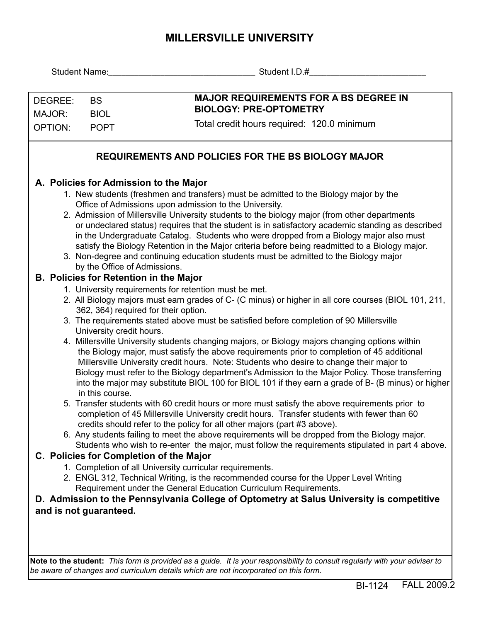## **MILLERSVILLE UNIVERSITY**

|                                                                                                                                              |                 | Student Name: Student I.D.#                                                                                                                                                                            |  |  |
|----------------------------------------------------------------------------------------------------------------------------------------------|-----------------|--------------------------------------------------------------------------------------------------------------------------------------------------------------------------------------------------------|--|--|
|                                                                                                                                              |                 |                                                                                                                                                                                                        |  |  |
| DEGREE:                                                                                                                                      | <b>BS</b>       | <b>MAJOR REQUIREMENTS FOR A BS DEGREE IN</b>                                                                                                                                                           |  |  |
| MAJOR:                                                                                                                                       | <b>BIOL</b>     | <b>BIOLOGY: PRE-OPTOMETRY</b>                                                                                                                                                                          |  |  |
| <b>OPTION:</b>                                                                                                                               | <b>POPT</b>     | Total credit hours required: 120.0 minimum                                                                                                                                                             |  |  |
|                                                                                                                                              |                 |                                                                                                                                                                                                        |  |  |
| REQUIREMENTS AND POLICIES FOR THE BS BIOLOGY MAJOR                                                                                           |                 |                                                                                                                                                                                                        |  |  |
| A. Policies for Admission to the Major                                                                                                       |                 |                                                                                                                                                                                                        |  |  |
| 1. New students (freshmen and transfers) must be admitted to the Biology major by the                                                        |                 |                                                                                                                                                                                                        |  |  |
|                                                                                                                                              |                 | Office of Admissions upon admission to the University.                                                                                                                                                 |  |  |
|                                                                                                                                              |                 | 2. Admission of Millersville University students to the biology major (from other departments                                                                                                          |  |  |
|                                                                                                                                              |                 | or undeclared status) requires that the student is in satisfactory academic standing as described<br>in the Undergraduate Catalog. Students who were dropped from a Biology major also must            |  |  |
|                                                                                                                                              |                 | satisfy the Biology Retention in the Major criteria before being readmitted to a Biology major.                                                                                                        |  |  |
| 3. Non-degree and continuing education students must be admitted to the Biology major                                                        |                 |                                                                                                                                                                                                        |  |  |
|                                                                                                                                              |                 | by the Office of Admissions.                                                                                                                                                                           |  |  |
| <b>B. Policies for Retention in the Major</b>                                                                                                |                 |                                                                                                                                                                                                        |  |  |
|                                                                                                                                              |                 | 1. University requirements for retention must be met.                                                                                                                                                  |  |  |
|                                                                                                                                              |                 | 2. All Biology majors must earn grades of C- (C minus) or higher in all core courses (BIOL 101, 211,<br>362, 364) required for their option.                                                           |  |  |
|                                                                                                                                              |                 | 3. The requirements stated above must be satisfied before completion of 90 Millersville                                                                                                                |  |  |
|                                                                                                                                              |                 | University credit hours.                                                                                                                                                                               |  |  |
|                                                                                                                                              |                 | 4. Millersville University students changing majors, or Biology majors changing options within                                                                                                         |  |  |
|                                                                                                                                              |                 | the Biology major, must satisfy the above requirements prior to completion of 45 additional                                                                                                            |  |  |
|                                                                                                                                              |                 | Millersville University credit hours. Note: Students who desire to change their major to                                                                                                               |  |  |
|                                                                                                                                              |                 | Biology must refer to the Biology department's Admission to the Major Policy. Those transferring<br>into the major may substitute BIOL 100 for BIOL 101 if they earn a grade of B- (B minus) or higher |  |  |
|                                                                                                                                              | in this course. |                                                                                                                                                                                                        |  |  |
|                                                                                                                                              |                 | 5. Transfer students with 60 credit hours or more must satisfy the above requirements prior to                                                                                                         |  |  |
|                                                                                                                                              |                 | completion of 45 Millersville University credit hours. Transfer students with fewer than 60                                                                                                            |  |  |
|                                                                                                                                              |                 | credits should refer to the policy for all other majors (part #3 above).                                                                                                                               |  |  |
|                                                                                                                                              |                 | 6. Any students failing to meet the above requirements will be dropped from the Biology major.                                                                                                         |  |  |
| Students who wish to re-enter the major, must follow the requirements stipulated in part 4 above.<br>C. Policies for Completion of the Major |                 |                                                                                                                                                                                                        |  |  |
| 1. Completion of all University curricular requirements.                                                                                     |                 |                                                                                                                                                                                                        |  |  |
|                                                                                                                                              |                 | 2. ENGL 312, Technical Writing, is the recommended course for the Upper Level Writing                                                                                                                  |  |  |
|                                                                                                                                              |                 | Requirement under the General Education Curriculum Requirements.                                                                                                                                       |  |  |
| D. Admission to the Pennsylvania College of Optometry at Salus University is competitive                                                     |                 |                                                                                                                                                                                                        |  |  |
| and is not guaranteed.                                                                                                                       |                 |                                                                                                                                                                                                        |  |  |
|                                                                                                                                              |                 |                                                                                                                                                                                                        |  |  |
|                                                                                                                                              |                 |                                                                                                                                                                                                        |  |  |
|                                                                                                                                              |                 |                                                                                                                                                                                                        |  |  |

**Note to the student:** *This form is provided as a guide. It is your responsibility to consult regularly with your adviser to be aware of changes and curriculum details which are not incorporated on this form.*